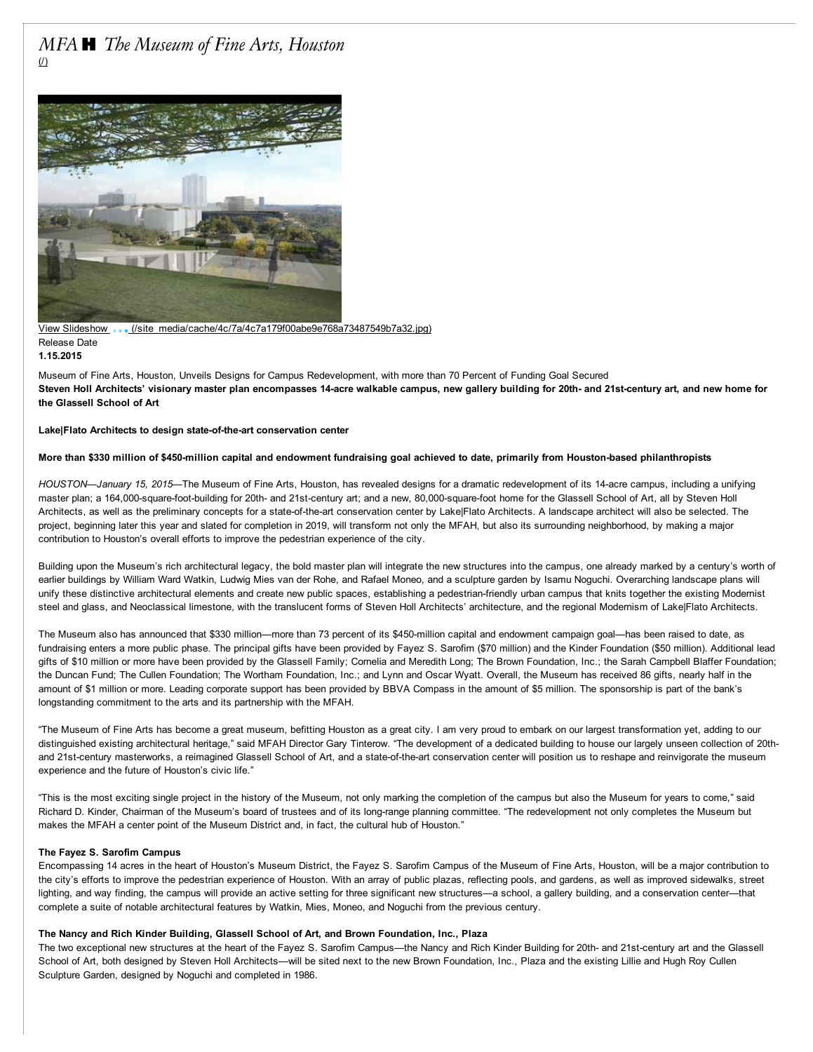# MFA **H** The Museum of Fine Arts, Houston (/)



View Slideshow [\(/site\\_media/cache/4c/7a/4c7a179f00abe9e768a73487549b7a32.jpg\)](http://www.mfah.org/site_media/cache/4c/7a/4c7a179f00abe9e768a73487549b7a32.jpg)

#### Release Date 1.15.2015

Museum of Fine Arts, Houston, Unveils Designs for Campus Redevelopment, with more than 70 Percent of Funding Goal Secured Steven Holl Architects' visionary master plan encompasses 14-acre walkable campus, new gallery building for 20th- and 21st-century art, and new home for the Glassell School of Art

# Lake|Flato Architects to design state-of-the-art conservation center

# More than \$330 million of \$450-million capital and endowment fundraising goal achieved to date, primarily from Houston-based philanthropists

*HOUSTON—January 15, 2015*—The Museum of Fine Arts, Houston, has revealed designs for a dramatic redevelopment of its 14acre campus, including a unifying master plan; a 164,000-square-foot-building for 20th- and 21st-century art; and a new, 80,000-square-foot home for the Glassell School of Art, all by Steven Holl Architects, as well as the preliminary concepts for a state-of-the-art conservation center by Lake|Flato Architects. A landscape architect will also be selected. The project, beginning later this year and slated for completion in 2019, will transform not only the MFAH, but also its surrounding neighborhood, by making a major contribution to Houston's overall efforts to improve the pedestrian experience of the city.

Building upon the Museum's rich architectural legacy, the bold master plan will integrate the new structures into the campus, one already marked by a century's worth of earlier buildings by William Ward Watkin, Ludwig Mies van der Rohe, and Rafael Moneo, and a sculpture garden by Isamu Noguchi. Overarching landscape plans will unify these distinctive architectural elements and create new public spaces, establishing a pedestrian-friendly urban campus that knits together the existing Modernist steel and glass, and Neoclassical limestone, with the translucent forms of Steven Holl Architects' architecture, and the regional Modernism of Lake|Flato Architects.

The Museum also has announced that \$330 million—more than 73 percent of its \$450-million capital and endowment campaign goal—has been raised to date, as fundraising enters a more public phase. The principal gifts have been provided by Fayez S. Sarofim (\$70 million) and the Kinder Foundation (\$50 million). Additional lead gifts of \$10 million or more have been provided by the Glassell Family; Cornelia and Meredith Long; The Brown Foundation, Inc.; the Sarah Campbell Blaffer Foundation; the Duncan Fund; The Cullen Foundation; The Wortham Foundation, Inc.; and Lynn and Oscar Wyatt. Overall, the Museum has received 86 gifts, nearly half in the amount of \$1 million or more. Leading corporate support has been provided by BBVA Compass in the amount of \$5 million. The sponsorship is part of the bank's longstanding commitment to the arts and its partnership with the MFAH.

"The Museum of Fine Arts has become a great museum, befitting Houston as a great city. I am very proud to embark on our largest transformation yet, adding to our distinguished existing architectural heritage," said MFAH Director Gary Tinterow. "The development of a dedicated building to house our largely unseen collection of 20thand 21st-century masterworks, a reimagined Glassell School of Art, and a state-of-the-art conservation center will position us to reshape and reinvigorate the museum experience and the future of Houston's civic life."

"This is the most exciting single project in the history of the Museum, not only marking the completion of the campus but also the Museum for years to come," said Richard D. Kinder, Chairman of the Museum's board of trustees and of its long-range planning committee. "The redevelopment not only completes the Museum but makes the MFAH a center point of the Museum District and, in fact, the cultural hub of Houston."

# The Fayez S. Sarofim Campus

Encompassing 14 acres in the heart of Houston's Museum District, the Fayez S. Sarofim Campus of the Museum of Fine Arts, Houston, will be a major contribution to the city's efforts to improve the pedestrian experience of Houston. With an array of public plazas, reflecting pools, and gardens, as well as improved sidewalks, street lighting, and way finding, the campus will provide an active setting for three significant new structures—a school, a gallery building, and a conservation center—that complete a suite of notable architectural features by Watkin, Mies, Moneo, and Noguchi from the previous century.

# The Nancy and Rich Kinder Building, Glassell School of Art, and Brown Foundation, Inc., Plaza

The two exceptional new structures at the heart of the Fayez S. Sarofim Campus—the Nancy and Rich Kinder Building for 20th- and 21st-century art and the Glassell School of Art, both designed by Steven Holl Architects—will be sited next to the new Brown Foundation, Inc., Plaza and the existing Lillie and Hugh Roy Cullen Sculpture Garden, designed by Noguchi and completed in 1986.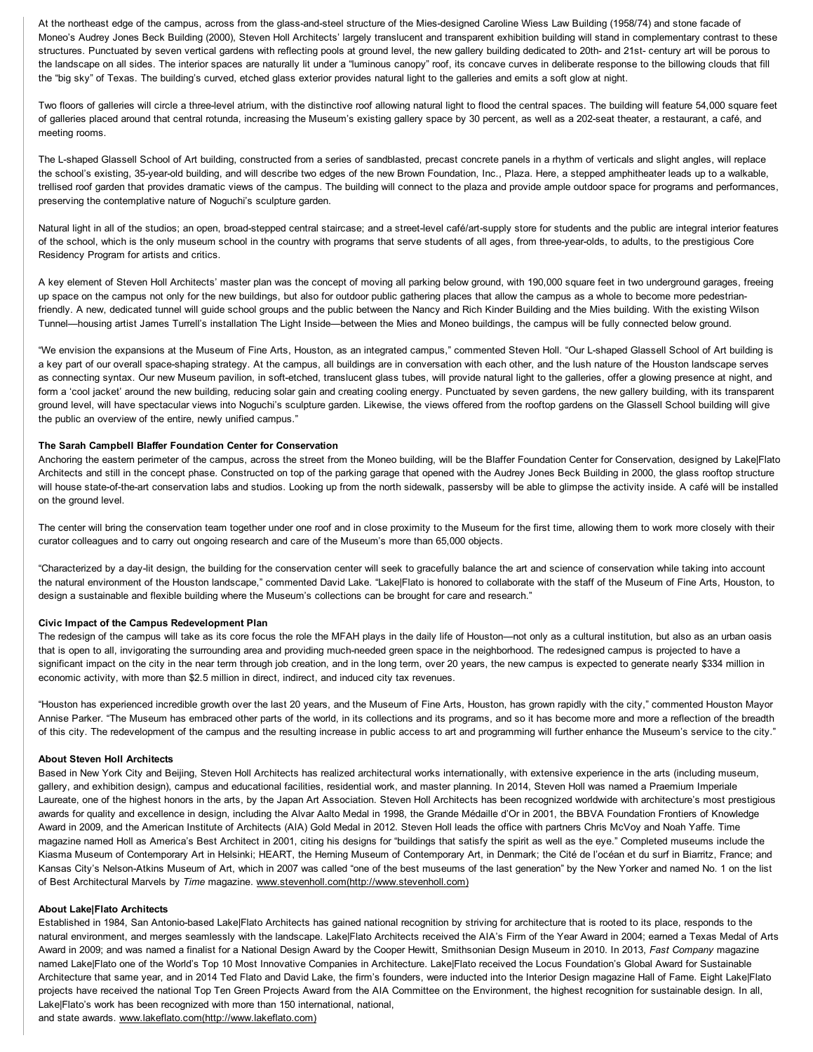At the northeast edge of the campus, across from the glass-and-steel structure of the Mies-designed Caroline Wiess Law Building (1958/74) and stone facade of Moneo's Audrey Jones Beck Building (2000), Steven Holl Architects' largely translucent and transparent exhibition building will stand in complementary contrast to these structures. Punctuated by seven vertical gardens with reflecting pools at ground level, the new gallery building dedicated to 20th- and 21st- century art will be porous to the landscape on all sides. The interior spaces are naturally lit under a "luminous canopy" roof, its concave curves in deliberate response to the billowing clouds that fill the "big sky" of Texas. The building's curved, etched glass exterior provides natural light to the galleries and emits a soft glow at night.

Two floors of galleries will circle a three-level atrium, with the distinctive roof allowing natural light to flood the central spaces. The building will feature 54,000 square feet of galleries placed around that central rotunda, increasing the Museum's existing gallery space by 30 percent, as well as a 202-seat theater, a restaurant, a café, and meeting rooms.

The L-shaped Glassell School of Art building, constructed from a series of sandblasted, precast concrete panels in a rhythm of verticals and slight angles, will replace the school's existing, 35-year-old building, and will describe two edges of the new Brown Foundation, Inc., Plaza. Here, a stepped amphitheater leads up to a walkable, trellised roof garden that provides dramatic views of the campus. The building will connect to the plaza and provide ample outdoor space for programs and performances, preserving the contemplative nature of Noguchi's sculpture garden.

Natural light in all of the studios; an open, broad-stepped central staircase; and a street-level café/art-supply store for students and the public are integral interior features of the school, which is the only museum school in the country with programs that serve students of all ages, from three-year-olds, to adults, to the prestigious Core Residency Program for artists and critics.

A key element of Steven Holl Architects' master plan was the concept of moving all parking below ground, with 190,000 square feet in two underground garages, freeing up space on the campus not only for the new buildings, but also for outdoor public gathering places that allow the campus as a whole to become more pedestrianfriendly. A new, dedicated tunnel will guide school groups and the public between the Nancy and Rich Kinder Building and the Mies building. With the existing Wilson Tunnel—housing artist James Turrell's installation The Light Inside—between the Mies and Moneo buildings, the campus will be fully connected below ground.

"We envision the expansions at the Museum of Fine Arts, Houston, as an integrated campus," commented Steven Holl. "Our Lshaped Glassell School of Art building is a key part of our overall space-shaping strategy. At the campus, all buildings are in conversation with each other, and the lush nature of the Houston landscape serves as connecting syntax. Our new Museum pavilion, in soft-etched, translucent glass tubes, will provide natural light to the galleries, offer a glowing presence at night, and form a 'cool jacket' around the new building, reducing solar gain and creating cooling energy. Punctuated by seven gardens, the new gallery building, with its transparent ground level, will have spectacular views into Noguchi's sculpture garden. Likewise, the views offered from the rooftop gardens on the Glassell School building will give the public an overview of the entire, newly unified campus."

# The Sarah Campbell Blaffer Foundation Center for Conservation

Anchoring the eastern perimeter of the campus, across the street from the Moneo building, will be the Blaffer Foundation Center for Conservation, designed by Lake|Flato Architects and still in the concept phase. Constructed on top of the parking garage that opened with the Audrey Jones Beck Building in 2000, the glass rooftop structure will house state-of-the-art conservation labs and studios. Looking up from the north sidewalk, passersby will be able to glimpse the activity inside. A café will be installed on the ground level.

The center will bring the conservation team together under one roof and in close proximity to the Museum for the first time, allowing them to work more closely with their curator colleagues and to carry out ongoing research and care of the Museum's more than 65,000 objects.

"Characterized by a daylit design, the building for the conservation center will seek to gracefully balance the art and science of conservation while taking into account the natural environment of the Houston landscape," commented David Lake. "Lake|Flato is honored to collaborate with the staff of the Museum of Fine Arts, Houston, to design a sustainable and flexible building where the Museum's collections can be brought for care and research."

# Civic Impact of the Campus Redevelopment Plan

The redesign of the campus will take as its core focus the role the MFAH plays in the daily life of Houston—not only as a cultural institution, but also as an urban oasis that is open to all, invigorating the surrounding area and providing much-needed green space in the neighborhood. The redesigned campus is projected to have a significant impact on the city in the near term through job creation, and in the long term, over 20 years, the new campus is expected to generate nearly \$334 million in economic activity, with more than \$2.5 million in direct, indirect, and induced city tax revenues.

"Houston has experienced incredible growth over the last 20 years, and the Museum of Fine Arts, Houston, has grown rapidly with the city," commented Houston Mayor Annise Parker. "The Museum has embraced other parts of the world, in its collections and its programs, and so it has become more and more a reflection of the breadth of this city. The redevelopment of the campus and the resulting increase in public access to art and programming will further enhance the Museum's service to the city."

# About Steven Holl Architects

Based in New York City and Beijing, Steven Holl Architects has realized architectural works internationally, with extensive experience in the arts (including museum, gallery, and exhibition design), campus and educational facilities, residential work, and master planning. In 2014, Steven Holl was named a Praemium Imperiale Laureate, one of the highest honors in the arts, by the Japan Art Association. Steven Holl Architects has been recognized worldwide with architecture's most prestigious awards for quality and excellence in design, including the Alvar Aalto Medal in 1998, the Grande Médaille d'Or in 2001, the BBVA Foundation Frontiers of Knowledge Award in 2009, and the American Institute of Architects (AIA) Gold Medal in 2012. Steven Holl leads the office with partners Chris McVoy and Noah Yaffe. Time magazine named Holl as America's Best Architect in 2001, citing his designs for "buildings that satisfy the spirit as well as the eye." Completed museums include the Kiasma Museum of Contemporary Art in Helsinki; HEART, the Herning Museum of Contemporary Art, in Denmark; the Cité de l'océan et du surf in Biarritz, France; and Kansas City's Nelson-Atkins Museum of Art, which in 2007 was called "one of the best museums of the last generation" by the New Yorker and named No. 1 on the list of Best Architectural Marvels by *Time* magazine. [www.stevenholl.com\(http://www.stevenholl.com\)](http://www.stevenholl.com/)

# About Lake|Flato Architects

Established in 1984, San Antonio-based Lake|Flato Architects has gained national recognition by striving for architecture that is rooted to its place, responds to the natural environment, and merges seamlessly with the landscape. Lake|Flato Architects received the AIA's Firm of the Year Award in 2004; earned a Texas Medal of Arts Award in 2009; and was named a finalist for a National Design Award by the Cooper Hewitt, Smithsonian Design Museum in 2010. In 2013, *Fast Company* magazine named Lake|Flato one of the World's Top 10 Most Innovative Companies in Architecture. Lake|Flato received the Locus Foundation's Global Award for Sustainable Architecture that same year, and in 2014 Ted Flato and David Lake, the firm's founders, were inducted into the Interior Design magazine Hall of Fame. Eight Lake|Flato projects have received the national Top Ten Green Projects Award from the AIA Committee on the Environment, the highest recognition for sustainable design. In all, Lake|Flato's work has been recognized with more than 150 international, national,

and state awards. [www.lakeflato.com\(http://www.lakeflato.com\)](http://www.lakeflato.com/)